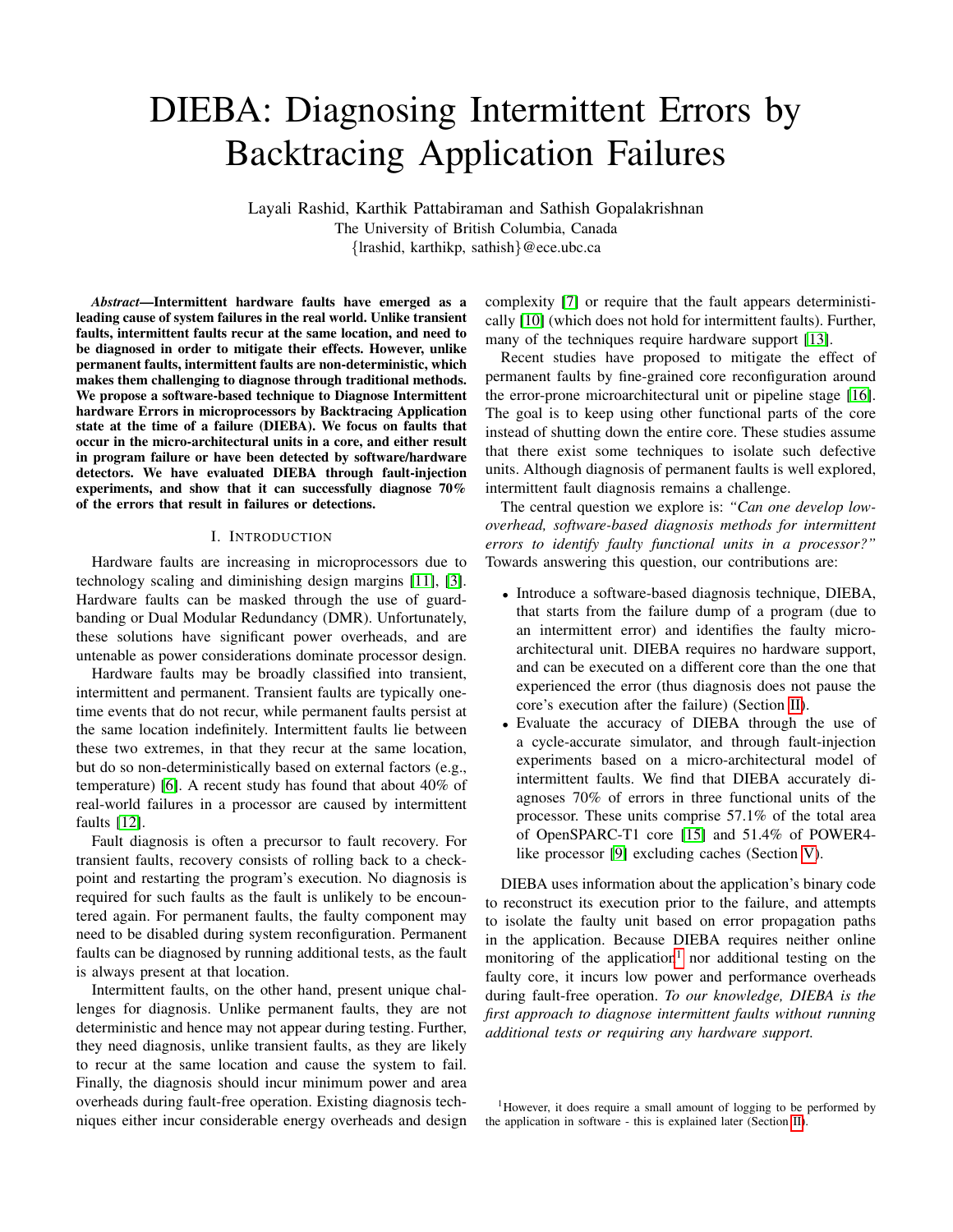# DIEBA: Diagnosing Intermittent Errors by Backtracing Application Failures

Layali Rashid, Karthik Pattabiraman and Sathish Gopalakrishnan The University of British Columbia, Canada {lrashid, karthikp, sathish}@ece.ubc.ca

*Abstract*—Intermittent hardware faults have emerged as a leading cause of system failures in the real world. Unlike transient faults, intermittent faults recur at the same location, and need to be diagnosed in order to mitigate their effects. However, unlike permanent faults, intermittent faults are non-deterministic, which makes them challenging to diagnose through traditional methods. We propose a software-based technique to Diagnose Intermittent hardware Errors in microprocessors by Backtracing Application state at the time of a failure (DIEBA). We focus on faults that occur in the micro-architectural units in a core, and either result in program failure or have been detected by software/hardware detectors. We have evaluated DIEBA through fault-injection experiments, and show that it can successfully diagnose 70% of the errors that result in failures or detections.

# I. INTRODUCTION

Hardware faults are increasing in microprocessors due to technology scaling and diminishing design margins [\[11\]](#page-5-0), [\[3\]](#page-5-1). Hardware faults can be masked through the use of guardbanding or Dual Modular Redundancy (DMR). Unfortunately, these solutions have significant power overheads, and are untenable as power considerations dominate processor design.

Hardware faults may be broadly classified into transient, intermittent and permanent. Transient faults are typically onetime events that do not recur, while permanent faults persist at the same location indefinitely. Intermittent faults lie between these two extremes, in that they recur at the same location, but do so non-deterministically based on external factors (e.g., temperature) [\[6\]](#page-5-2). A recent study has found that about 40% of real-world failures in a processor are caused by intermittent faults [\[12\]](#page-5-3).

Fault diagnosis is often a precursor to fault recovery. For transient faults, recovery consists of rolling back to a checkpoint and restarting the program's execution. No diagnosis is required for such faults as the fault is unlikely to be encountered again. For permanent faults, the faulty component may need to be disabled during system reconfiguration. Permanent faults can be diagnosed by running additional tests, as the fault is always present at that location.

Intermittent faults, on the other hand, present unique challenges for diagnosis. Unlike permanent faults, they are not deterministic and hence may not appear during testing. Further, they need diagnosis, unlike transient faults, as they are likely to recur at the same location and cause the system to fail. Finally, the diagnosis should incur minimum power and area overheads during fault-free operation. Existing diagnosis techniques either incur considerable energy overheads and design

complexity [\[7\]](#page-5-4) or require that the fault appears deterministically [\[10\]](#page-5-5) (which does not hold for intermittent faults). Further, many of the techniques require hardware support [\[13\]](#page-5-6).

Recent studies have proposed to mitigate the effect of permanent faults by fine-grained core reconfiguration around the error-prone microarchitectural unit or pipeline stage [\[16\]](#page-5-7). The goal is to keep using other functional parts of the core instead of shutting down the entire core. These studies assume that there exist some techniques to isolate such defective units. Although diagnosis of permanent faults is well explored, intermittent fault diagnosis remains a challenge.

The central question we explore is: *"Can one develop lowoverhead, software-based diagnosis methods for intermittent errors to identify faulty functional units in a processor?"* Towards answering this question, our contributions are:

- Introduce a software-based diagnosis technique, DIEBA, that starts from the failure dump of a program (due to an intermittent error) and identifies the faulty microarchitectural unit. DIEBA requires no hardware support, and can be executed on a different core than the one that experienced the error (thus diagnosis does not pause the core's execution after the failure) (Section [II\)](#page-1-0).
- Evaluate the accuracy of DIEBA through the use of a cycle-accurate simulator, and through fault-injection experiments based on a micro-architectural model of intermittent faults. We find that DIEBA accurately diagnoses 70% of errors in three functional units of the processor. These units comprise 57.1% of the total area of OpenSPARC-T1 core [\[15\]](#page-5-8) and 51.4% of POWER4 like processor [\[9\]](#page-5-9) excluding caches (Section [V\)](#page-4-0).

DIEBA uses information about the application's binary code to reconstruct its execution prior to the failure, and attempts to isolate the faulty unit based on error propagation paths in the application. Because DIEBA requires neither online monitoring of the application<sup>[1](#page-0-0)</sup> nor additional testing on the faulty core, it incurs low power and performance overheads during fault-free operation. *To our knowledge, DIEBA is the first approach to diagnose intermittent faults without running additional tests or requiring any hardware support.*

<span id="page-0-0"></span><sup>1</sup>However, it does require a small amount of logging to be performed by the application in software - this is explained later (Section [II\)](#page-1-0).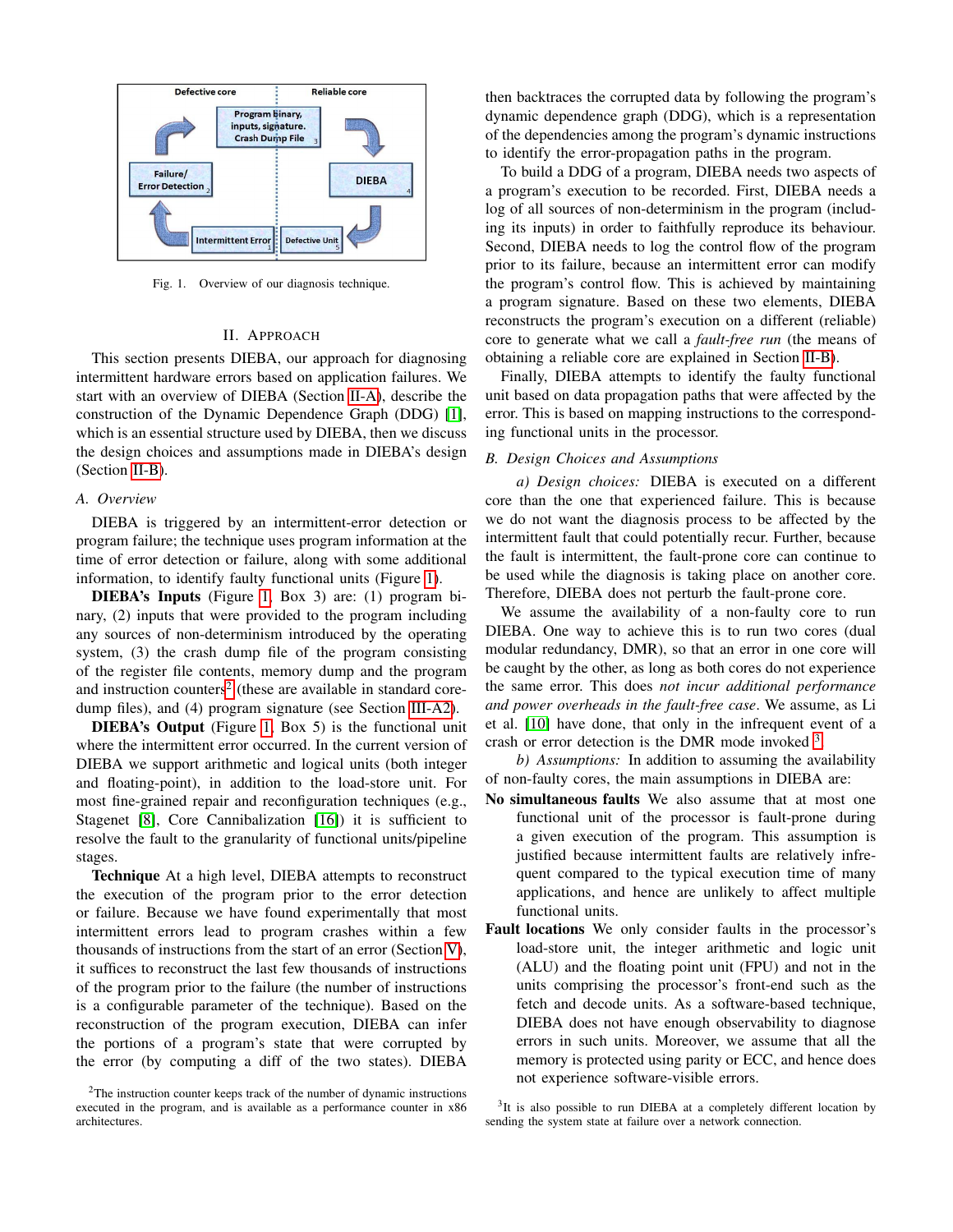

<span id="page-1-3"></span>Fig. 1. Overview of our diagnosis technique.

## II. APPROACH

<span id="page-1-0"></span>This section presents DIEBA, our approach for diagnosing intermittent hardware errors based on application failures. We start with an overview of DIEBA (Section [II-A\)](#page-1-1), describe the construction of the Dynamic Dependence Graph (DDG) [\[1\]](#page-5-10), which is an essential structure used by DIEBA, then we discuss the design choices and assumptions made in DIEBA's design (Section [II-B\)](#page-1-2).

#### <span id="page-1-1"></span>*A. Overview*

DIEBA is triggered by an intermittent-error detection or program failure; the technique uses program information at the time of error detection or failure, along with some additional information, to identify faulty functional units (Figure [1\)](#page-1-3).

DIEBA's Inputs (Figure [1,](#page-1-3) Box 3) are: (1) program binary, (2) inputs that were provided to the program including any sources of non-determinism introduced by the operating system, (3) the crash dump file of the program consisting of the register file contents, memory dump and the program and instruction counters<sup>[2](#page-1-4)</sup> (these are available in standard coredump files), and (4) program signature (see Section [III-A2\)](#page-2-0).

DIEBA's Output (Figure [1,](#page-1-3) Box 5) is the functional unit where the intermittent error occurred. In the current version of DIEBA we support arithmetic and logical units (both integer and floating-point), in addition to the load-store unit. For most fine-grained repair and reconfiguration techniques (e.g., Stagenet [\[8\]](#page-5-11), Core Cannibalization [\[16\]](#page-5-7)) it is sufficient to resolve the fault to the granularity of functional units/pipeline stages.

Technique At a high level, DIEBA attempts to reconstruct the execution of the program prior to the error detection or failure. Because we have found experimentally that most intermittent errors lead to program crashes within a few thousands of instructions from the start of an error (Section [V\)](#page-4-0), it suffices to reconstruct the last few thousands of instructions of the program prior to the failure (the number of instructions is a configurable parameter of the technique). Based on the reconstruction of the program execution, DIEBA can infer the portions of a program's state that were corrupted by the error (by computing a diff of the two states). DIEBA

then backtraces the corrupted data by following the program's dynamic dependence graph (DDG), which is a representation of the dependencies among the program's dynamic instructions to identify the error-propagation paths in the program.

To build a DDG of a program, DIEBA needs two aspects of a program's execution to be recorded. First, DIEBA needs a log of all sources of non-determinism in the program (including its inputs) in order to faithfully reproduce its behaviour. Second, DIEBA needs to log the control flow of the program prior to its failure, because an intermittent error can modify the program's control flow. This is achieved by maintaining a program signature. Based on these two elements, DIEBA reconstructs the program's execution on a different (reliable) core to generate what we call a *fault-free run* (the means of obtaining a reliable core are explained in Section [II-B\)](#page-1-2).

Finally, DIEBA attempts to identify the faulty functional unit based on data propagation paths that were affected by the error. This is based on mapping instructions to the corresponding functional units in the processor.

## <span id="page-1-2"></span>*B. Design Choices and Assumptions*

*a) Design choices:* DIEBA is executed on a different core than the one that experienced failure. This is because we do not want the diagnosis process to be affected by the intermittent fault that could potentially recur. Further, because the fault is intermittent, the fault-prone core can continue to be used while the diagnosis is taking place on another core. Therefore, DIEBA does not perturb the fault-prone core.

We assume the availability of a non-faulty core to run DIEBA. One way to achieve this is to run two cores (dual modular redundancy, DMR), so that an error in one core will be caught by the other, as long as both cores do not experience the same error. This does *not incur additional performance and power overheads in the fault-free case*. We assume, as Li et al. [\[10\]](#page-5-5) have done, that only in the infrequent event of a crash or error detection is the DMR mode invoked [3](#page-1-5).

*b) Assumptions:* In addition to assuming the availability of non-faulty cores, the main assumptions in DIEBA are:

- No simultaneous faults We also assume that at most one functional unit of the processor is fault-prone during a given execution of the program. This assumption is justified because intermittent faults are relatively infrequent compared to the typical execution time of many applications, and hence are unlikely to affect multiple functional units.
- Fault locations We only consider faults in the processor's load-store unit, the integer arithmetic and logic unit (ALU) and the floating point unit (FPU) and not in the units comprising the processor's front-end such as the fetch and decode units. As a software-based technique, DIEBA does not have enough observability to diagnose errors in such units. Moreover, we assume that all the memory is protected using parity or ECC, and hence does not experience software-visible errors.

<span id="page-1-5"></span><sup>3</sup>It is also possible to run DIEBA at a completely different location by sending the system state at failure over a network connection.

<span id="page-1-4"></span> $2$ The instruction counter keeps track of the number of dynamic instructions executed in the program, and is available as a performance counter in x86 architectures.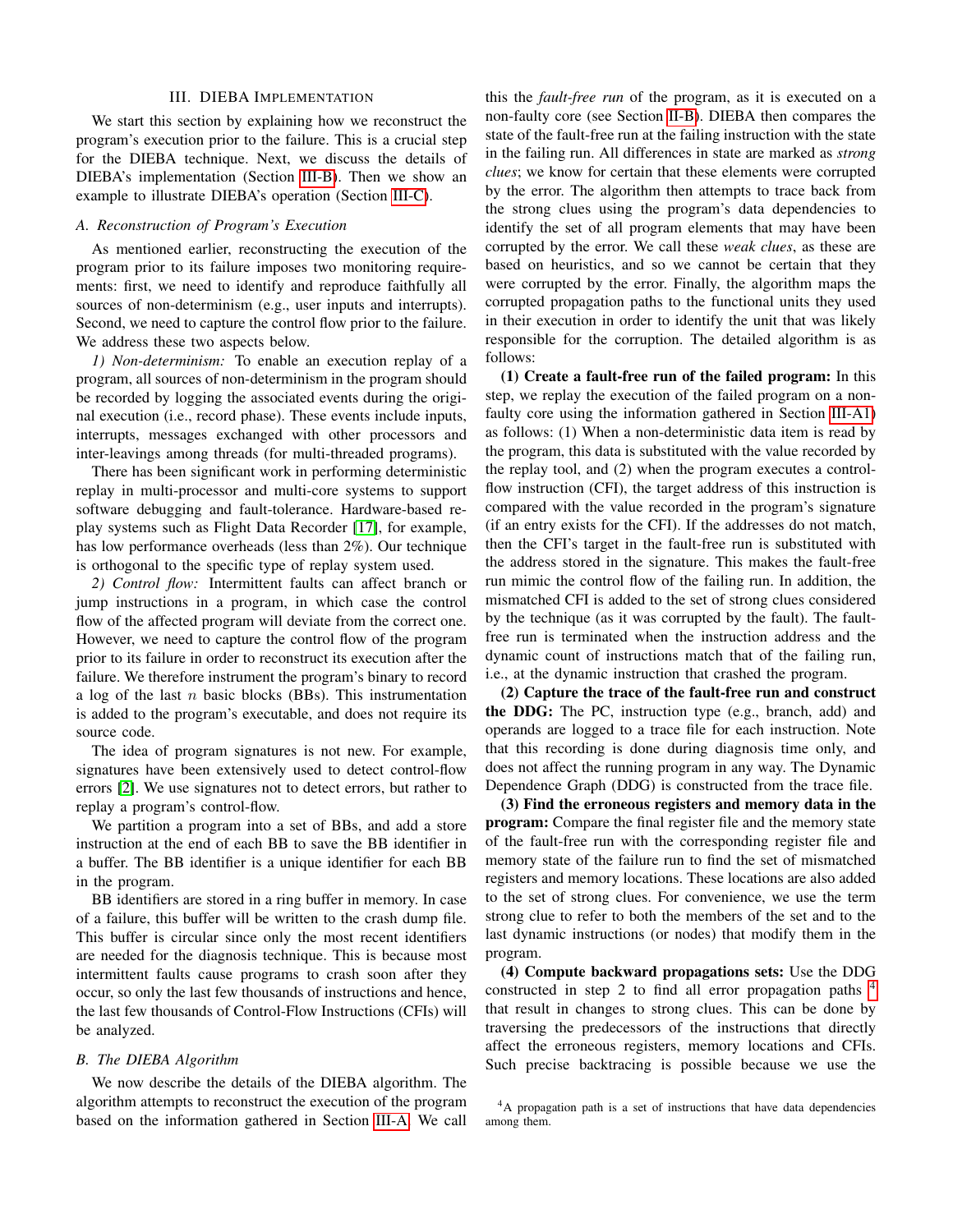#### III. DIEBA IMPLEMENTATION

We start this section by explaining how we reconstruct the program's execution prior to the failure. This is a crucial step for the DIEBA technique. Next, we discuss the details of DIEBA's implementation (Section [III-B\)](#page-2-1). Then we show an example to illustrate DIEBA's operation (Section [III-C\)](#page-3-0).

## <span id="page-2-2"></span>*A. Reconstruction of Program's Execution*

As mentioned earlier, reconstructing the execution of the program prior to its failure imposes two monitoring requirements: first, we need to identify and reproduce faithfully all sources of non-determinism (e.g., user inputs and interrupts). Second, we need to capture the control flow prior to the failure. We address these two aspects below.

<span id="page-2-3"></span>*1) Non-determinism:* To enable an execution replay of a program, all sources of non-determinism in the program should be recorded by logging the associated events during the original execution (i.e., record phase). These events include inputs, interrupts, messages exchanged with other processors and inter-leavings among threads (for multi-threaded programs).

There has been significant work in performing deterministic replay in multi-processor and multi-core systems to support software debugging and fault-tolerance. Hardware-based replay systems such as Flight Data Recorder [\[17\]](#page-5-12), for example, has low performance overheads (less than 2%). Our technique is orthogonal to the specific type of replay system used.

<span id="page-2-0"></span>*2) Control flow:* Intermittent faults can affect branch or jump instructions in a program, in which case the control flow of the affected program will deviate from the correct one. However, we need to capture the control flow of the program prior to its failure in order to reconstruct its execution after the failure. We therefore instrument the program's binary to record a log of the last  $n$  basic blocks (BBs). This instrumentation is added to the program's executable, and does not require its source code.

The idea of program signatures is not new. For example, signatures have been extensively used to detect control-flow errors [\[2\]](#page-5-13). We use signatures not to detect errors, but rather to replay a program's control-flow.

We partition a program into a set of BBs, and add a store instruction at the end of each BB to save the BB identifier in a buffer. The BB identifier is a unique identifier for each BB in the program.

BB identifiers are stored in a ring buffer in memory. In case of a failure, this buffer will be written to the crash dump file. This buffer is circular since only the most recent identifiers are needed for the diagnosis technique. This is because most intermittent faults cause programs to crash soon after they occur, so only the last few thousands of instructions and hence, the last few thousands of Control-Flow Instructions (CFIs) will be analyzed.

## <span id="page-2-1"></span>*B. The DIEBA Algorithm*

We now describe the details of the DIEBA algorithm. The algorithm attempts to reconstruct the execution of the program based on the information gathered in Section [III-A.](#page-2-2) We call

this the *fault-free run* of the program, as it is executed on a non-faulty core (see Section [II-B\)](#page-1-2). DIEBA then compares the state of the fault-free run at the failing instruction with the state in the failing run. All differences in state are marked as *strong clues*; we know for certain that these elements were corrupted by the error. The algorithm then attempts to trace back from the strong clues using the program's data dependencies to identify the set of all program elements that may have been corrupted by the error. We call these *weak clues*, as these are based on heuristics, and so we cannot be certain that they were corrupted by the error. Finally, the algorithm maps the corrupted propagation paths to the functional units they used in their execution in order to identify the unit that was likely responsible for the corruption. The detailed algorithm is as follows:

(1) Create a fault-free run of the failed program: In this step, we replay the execution of the failed program on a nonfaulty core using the information gathered in Section [III-A1\)](#page-2-3) as follows: (1) When a non-deterministic data item is read by the program, this data is substituted with the value recorded by the replay tool, and (2) when the program executes a controlflow instruction (CFI), the target address of this instruction is compared with the value recorded in the program's signature (if an entry exists for the CFI). If the addresses do not match, then the CFI's target in the fault-free run is substituted with the address stored in the signature. This makes the fault-free run mimic the control flow of the failing run. In addition, the mismatched CFI is added to the set of strong clues considered by the technique (as it was corrupted by the fault). The faultfree run is terminated when the instruction address and the dynamic count of instructions match that of the failing run, i.e., at the dynamic instruction that crashed the program.

(2) Capture the trace of the fault-free run and construct the DDG: The PC, instruction type (e.g., branch, add) and operands are logged to a trace file for each instruction. Note that this recording is done during diagnosis time only, and does not affect the running program in any way. The Dynamic Dependence Graph (DDG) is constructed from the trace file.

(3) Find the erroneous registers and memory data in the program: Compare the final register file and the memory state of the fault-free run with the corresponding register file and memory state of the failure run to find the set of mismatched registers and memory locations. These locations are also added to the set of strong clues. For convenience, we use the term strong clue to refer to both the members of the set and to the last dynamic instructions (or nodes) that modify them in the program.

(4) Compute backward propagations sets: Use the DDG constructed in step 2 to find all error propagation paths [4](#page-2-4) that result in changes to strong clues. This can be done by traversing the predecessors of the instructions that directly affect the erroneous registers, memory locations and CFIs. Such precise backtracing is possible because we use the

<span id="page-2-4"></span><sup>4</sup>A propagation path is a set of instructions that have data dependencies among them.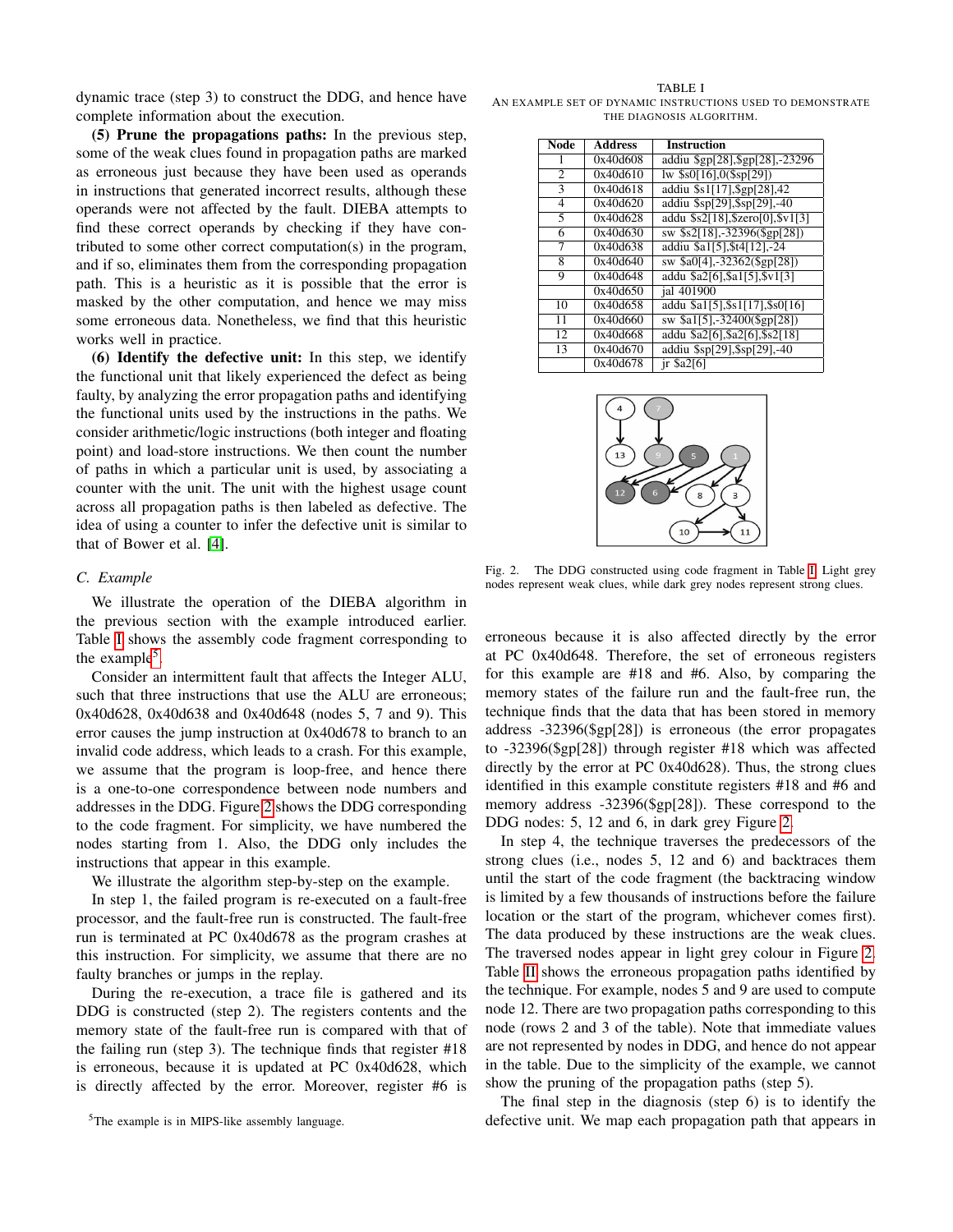dynamic trace (step 3) to construct the DDG, and hence have complete information about the execution.

(5) Prune the propagations paths: In the previous step, some of the weak clues found in propagation paths are marked as erroneous just because they have been used as operands in instructions that generated incorrect results, although these operands were not affected by the fault. DIEBA attempts to find these correct operands by checking if they have contributed to some other correct computation(s) in the program, and if so, eliminates them from the corresponding propagation path. This is a heuristic as it is possible that the error is masked by the other computation, and hence we may miss some erroneous data. Nonetheless, we find that this heuristic works well in practice.

(6) Identify the defective unit: In this step, we identify the functional unit that likely experienced the defect as being faulty, by analyzing the error propagation paths and identifying the functional units used by the instructions in the paths. We consider arithmetic/logic instructions (both integer and floating point) and load-store instructions. We then count the number of paths in which a particular unit is used, by associating a counter with the unit. The unit with the highest usage count across all propagation paths is then labeled as defective. The idea of using a counter to infer the defective unit is similar to that of Bower et al. [\[4\]](#page-5-14).

### <span id="page-3-0"></span>*C. Example*

We illustrate the operation of the DIEBA algorithm in the previous section with the example introduced earlier. Table [I](#page-3-1) shows the assembly code fragment corresponding to the example<sup>[5](#page-3-2)</sup>.

Consider an intermittent fault that affects the Integer ALU, such that three instructions that use the ALU are erroneous; 0x40d628, 0x40d638 and 0x40d648 (nodes 5, 7 and 9). This error causes the jump instruction at 0x40d678 to branch to an invalid code address, which leads to a crash. For this example, we assume that the program is loop-free, and hence there is a one-to-one correspondence between node numbers and addresses in the DDG. Figure [2](#page-3-3) shows the DDG corresponding to the code fragment. For simplicity, we have numbered the nodes starting from 1. Also, the DDG only includes the instructions that appear in this example.

We illustrate the algorithm step-by-step on the example.

In step 1, the failed program is re-executed on a fault-free processor, and the fault-free run is constructed. The fault-free run is terminated at PC 0x40d678 as the program crashes at this instruction. For simplicity, we assume that there are no faulty branches or jumps in the replay.

During the re-execution, a trace file is gathered and its DDG is constructed (step 2). The registers contents and the memory state of the fault-free run is compared with that of the failing run (step 3). The technique finds that register #18 is erroneous, because it is updated at PC 0x40d628, which is directly affected by the error. Moreover, register #6 is

<span id="page-3-2"></span><sup>5</sup>The example is in MIPS-like assembly language.

<span id="page-3-1"></span>TABLE I AN EXAMPLE SET OF DYNAMIC INSTRUCTIONS USED TO DEMONSTRATE THE DIAGNOSIS ALGORITHM.

| <b>Node</b>    | <b>Address</b> | <b>Instruction</b>                |
|----------------|----------------|-----------------------------------|
| 1              | 0x40d608       | addiu \$gp[28], \$gp[28], -23296  |
| $\overline{2}$ | 0x40d610       |                                   |
| 3              | 0x40d618       | addiu \$s1[17], \$gp[28], 42      |
| $\overline{4}$ | 0x40d620       | addiu \$sp[29], \$sp[29], -40     |
| 5              | 0x40d628       | addu \$s2[18], \$zero[0], \$v1[3] |
| 6              | 0x40d630       | sw \$s2[18],-32396(\$gp[28])      |
| 7              | 0x40d638       | addiu \$a1[5], \$t4[12], -24      |
| 8              | 0x40d640       | sw \$a0[4],-32362(\$gp[28])       |
| 9              | 0x40d648       | addu \$a2[6], \$a1[5], \$v1[3]    |
|                | 0x40d650       | ial 401900                        |
| 10             | 0x40d658       | addu \$a1[5], \$s1[17], \$s0[16]  |
| 11             | 0x40d660       | sw \$a1[5],-32400(\$gp[28])       |
| 12             | 0x40d668       | addu \$a2[6], \$a2[6], \$s2[18]   |
| 13             | 0x40d670       | addiu \$sp[29], \$sp[29], -40     |
|                | 0x40d678       | $ir$ \$a2 $[6]$                   |



<span id="page-3-3"></span>Fig. 2. The DDG constructed using code fragment in Table [I.](#page-3-1) Light grey nodes represent weak clues, while dark grey nodes represent strong clues.

erroneous because it is also affected directly by the error at PC 0x40d648. Therefore, the set of erroneous registers for this example are #18 and #6. Also, by comparing the memory states of the failure run and the fault-free run, the technique finds that the data that has been stored in memory address -32396(\$gp[28]) is erroneous (the error propagates to -32396(\$gp[28]) through register #18 which was affected directly by the error at PC 0x40d628). Thus, the strong clues identified in this example constitute registers #18 and #6 and memory address -32396(\$gp[28]). These correspond to the DDG nodes: 5, 12 and 6, in dark grey Figure [2.](#page-3-3)

In step 4, the technique traverses the predecessors of the strong clues (i.e., nodes 5, 12 and 6) and backtraces them until the start of the code fragment (the backtracing window is limited by a few thousands of instructions before the failure location or the start of the program, whichever comes first). The data produced by these instructions are the weak clues. The traversed nodes appear in light grey colour in Figure [2.](#page-3-3) Table [II](#page-4-1) shows the erroneous propagation paths identified by the technique. For example, nodes 5 and 9 are used to compute node 12. There are two propagation paths corresponding to this node (rows 2 and 3 of the table). Note that immediate values are not represented by nodes in DDG, and hence do not appear in the table. Due to the simplicity of the example, we cannot show the pruning of the propagation paths (step 5).

The final step in the diagnosis (step 6) is to identify the defective unit. We map each propagation path that appears in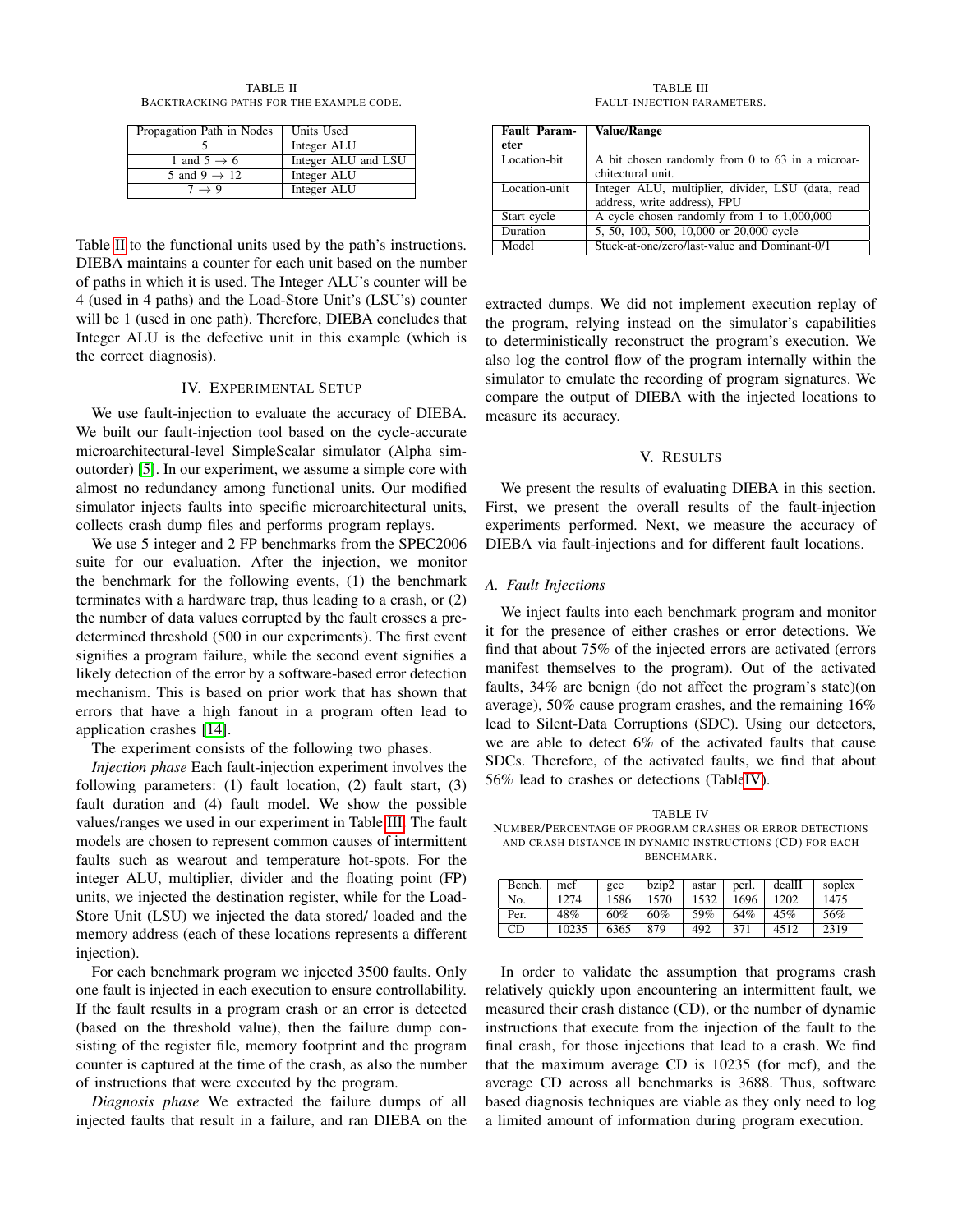TABLE II BACKTRACKING PATHS FOR THE EXAMPLE CODE.

<span id="page-4-1"></span>

| Propagation Path in Nodes | Units Used          |
|---------------------------|---------------------|
|                           | Integer ALU         |
| 1 and $5 \rightarrow 6$   | Integer ALU and LSU |
| 5 and 9 $\rightarrow$ 12  | Integer ALU         |
| $7 \rightarrow 9$         | Integer ALU         |

Table [II](#page-4-1) to the functional units used by the path's instructions. DIEBA maintains a counter for each unit based on the number of paths in which it is used. The Integer ALU's counter will be 4 (used in 4 paths) and the Load-Store Unit's (LSU's) counter will be 1 (used in one path). Therefore, DIEBA concludes that Integer ALU is the defective unit in this example (which is the correct diagnosis).

## IV. EXPERIMENTAL SETUP

We use fault-injection to evaluate the accuracy of DIEBA. We built our fault-injection tool based on the cycle-accurate microarchitectural-level SimpleScalar simulator (Alpha simoutorder) [\[5\]](#page-5-15). In our experiment, we assume a simple core with almost no redundancy among functional units. Our modified simulator injects faults into specific microarchitectural units, collects crash dump files and performs program replays.

We use 5 integer and 2 FP benchmarks from the SPEC2006 suite for our evaluation. After the injection, we monitor the benchmark for the following events, (1) the benchmark terminates with a hardware trap, thus leading to a crash, or (2) the number of data values corrupted by the fault crosses a predetermined threshold (500 in our experiments). The first event signifies a program failure, while the second event signifies a likely detection of the error by a software-based error detection mechanism. This is based on prior work that has shown that errors that have a high fanout in a program often lead to application crashes [\[14\]](#page-5-16).

The experiment consists of the following two phases.

*Injection phase* Each fault-injection experiment involves the following parameters: (1) fault location, (2) fault start, (3) fault duration and (4) fault model. We show the possible values/ranges we used in our experiment in Table [III.](#page-4-2) The fault models are chosen to represent common causes of intermittent faults such as wearout and temperature hot-spots. For the integer ALU, multiplier, divider and the floating point (FP) units, we injected the destination register, while for the Load-Store Unit (LSU) we injected the data stored/ loaded and the memory address (each of these locations represents a different injection).

For each benchmark program we injected 3500 faults. Only one fault is injected in each execution to ensure controllability. If the fault results in a program crash or an error is detected (based on the threshold value), then the failure dump consisting of the register file, memory footprint and the program counter is captured at the time of the crash, as also the number of instructions that were executed by the program.

*Diagnosis phase* We extracted the failure dumps of all injected faults that result in a failure, and ran DIEBA on the

TABLE III FAULT-INJECTION PARAMETERS.

<span id="page-4-2"></span>

| Fault Param-<br>eter | <b>Value/Range</b>                                |  |  |
|----------------------|---------------------------------------------------|--|--|
|                      |                                                   |  |  |
| Location-bit         | A bit chosen randomly from 0 to 63 in a microar-  |  |  |
|                      | chitectural unit.                                 |  |  |
| Location-unit        | Integer ALU, multiplier, divider, LSU (data, read |  |  |
|                      | address, write address), FPU                      |  |  |
| Start cycle          | A cycle chosen randomly from 1 to 1,000,000       |  |  |
| Duration             | 5, 50, 100, 500, 10,000 or 20,000 cycle           |  |  |
| Model                | Stuck-at-one/zero/last-value and Dominant-0/1     |  |  |

extracted dumps. We did not implement execution replay of the program, relying instead on the simulator's capabilities to deterministically reconstruct the program's execution. We also log the control flow of the program internally within the simulator to emulate the recording of program signatures. We compare the output of DIEBA with the injected locations to measure its accuracy.

## V. RESULTS

<span id="page-4-0"></span>We present the results of evaluating DIEBA in this section. First, we present the overall results of the fault-injection experiments performed. Next, we measure the accuracy of DIEBA via fault-injections and for different fault locations.

## *A. Fault Injections*

We inject faults into each benchmark program and monitor it for the presence of either crashes or error detections. We find that about 75% of the injected errors are activated (errors manifest themselves to the program). Out of the activated faults, 34% are benign (do not affect the program's state)(on average), 50% cause program crashes, and the remaining 16% lead to Silent-Data Corruptions (SDC). Using our detectors, we are able to detect 6% of the activated faults that cause SDCs. Therefore, of the activated faults, we find that about 56% lead to crashes or detections (Tabl[eIV\)](#page-4-3).

<span id="page-4-3"></span>TABLE IV NUMBER/PERCENTAGE OF PROGRAM CRASHES OR ERROR DETECTIONS AND CRASH DISTANCE IN DYNAMIC INSTRUCTIONS (CD) FOR EACH BENCHMARK.

| Bench. | mcf   | $_{\text{ecc}}$ | bzip2 | astar | perl. | dealII | soplex |
|--------|-------|-----------------|-------|-------|-------|--------|--------|
| No.    | 1274  | 1586            | 1570  | 1532  | 1696  | 1202   | 1475   |
| Per.   | 48%   | 60%             | 60%   | 59%   | 64%   | 45%    | 56%    |
| CD     | 10235 | 6365            | 879   | 492   | 371   | 4512   | 2319   |

In order to validate the assumption that programs crash relatively quickly upon encountering an intermittent fault, we measured their crash distance (CD), or the number of dynamic instructions that execute from the injection of the fault to the final crash, for those injections that lead to a crash. We find that the maximum average CD is 10235 (for mcf), and the average CD across all benchmarks is 3688. Thus, software based diagnosis techniques are viable as they only need to log a limited amount of information during program execution.